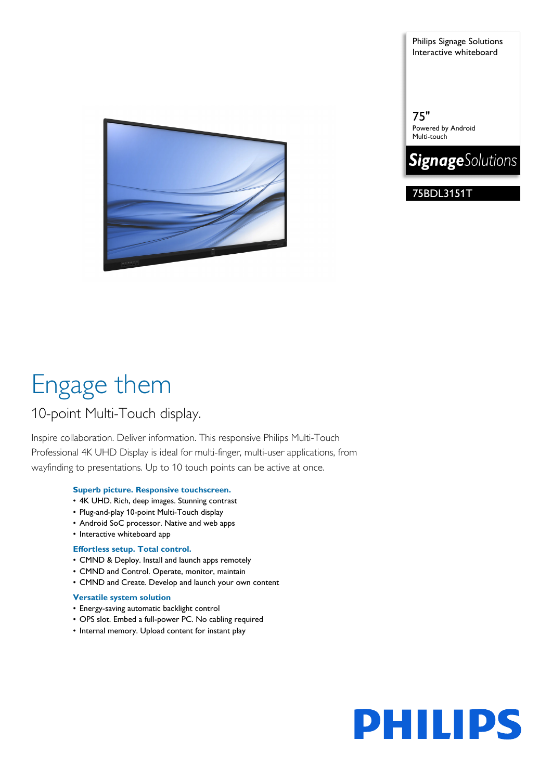Engage them

# 10-point Multi-Touch display.

Inspire collaboration. Deliver information. This responsive Philips Multi-Touch Professional 4K UHD Display is ideal for multi-finger, multi-user applications, from wayfinding to presentations. Up to 10 touch points can be active at once.

# **Superb picture. Responsive touchscreen.**

- 4K UHD. Rich, deep images. Stunning contrast
- Plug-and-play 10-point Multi-Touch display
- Android SoC processor. Native and web apps
- Interactive whiteboard app

# **Effortless setup. Total control.**

- CMND & Deploy. Install and launch apps remotely
- CMND and Control. Operate, monitor, maintain
- CMND and Create. Develop and launch your own content

# **Versatile system solution**

- Energy-saving automatic backlight control
- OPS slot. Embed a full-power PC. No cabling required
- Internal memory. Upload content for instant play

Philips Signage Solutions Interactive whiteboard

75" Powered by Android Multi-touch



75BDL3151T

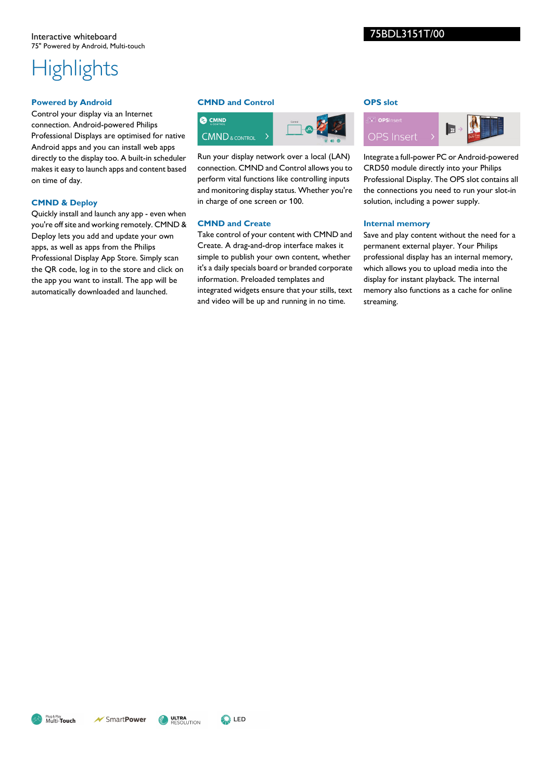# **Highlights**

# **Powered by Android**

Control your display via an Internet connection. Android-powered Philips Professional Displays are optimised for native Android apps and you can install web apps directly to the display too. A built-in scheduler makes it easy to launch apps and content based on time of day.

# **CMND & Deploy**

Quickly install and launch any app - even when you're off site and working remotely. CMND & Deploy lets you add and update your own apps, as well as apps from the Philips Professional Display App Store. Simply scan the QR code, log in to the store and click on the app you want to install. The app will be automatically downloaded and launched.

# **CMND and Control**



Run your display network over a local (LAN) connection. CMND and Control allows you to perform vital functions like controlling inputs and monitoring display status. Whether you're in charge of one screen or 100.

### **CMND and Create**

Take control of your content with CMND and Create. A drag-and-drop interface makes it simple to publish your own content, whether it's a daily specials board or branded corporate information. Preloaded templates and integrated widgets ensure that your stills, text and video will be up and running in no time.

# **OPS slot**



Integrate a full-power PC or Android-powered CRD50 module directly into your Philips Professional Display. The OPS slot contains all the connections you need to run your slot-in solution, including a power supply.

### **Internal memory**

Save and play content without the need for a permanent external player. Your Philips professional display has an internal memory, which allows you to upload media into the display for instant playback. The internal memory also functions as a cache for online streaming.

Plug & Play<br>Multi-**Touch**